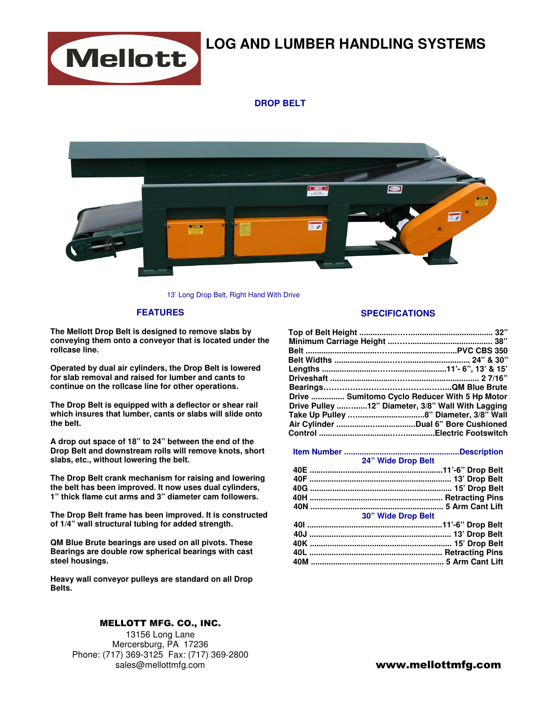

# **LOG AND LUMBER HANDLING SYSTEMS**

## **DROP BELT**



13' Long Drop Belt, Right Hand With Drive

### **FEATURES**

**The Mellott Drop Belt is designed to remove slabs by conveying them onto a conveyor that is located under the rollcase line.** 

**Operated by dual air cylinders, the Drop Belt is lowered for slab removal and raised for lumber and cants to continue on the rollcase line for other operations.**

**The Drop Belt is equipped with a deflector or shear rail which insures that lumber, cants or slabs will slide onto the belt.** 

**A drop out space of 18" to 24" between the end of the Drop Belt and downstream rolls will remove knots, short slabs, etc., without lowering the belt.** 

**The Drop Belt crank mechanism for raising and lowering the belt has been improved. It now uses dual cylinders, 1" thick flame cut arms and 3" diameter cam followers.** 

**The Drop Belt frame has been improved. It is constructed of 1/4" wall structural tubing for added strength.** 

**QM Blue Brute bearings are used on all pivots. These Bearings are double row spherical bearings with cast steel housings.** 

**Heavy wall conveyor pulleys are standard on all Drop Belts.** 

### MELLOTT MFG. CO., INC.

13156 Long Lane Mercersburg, PA 17236 Phone: (717) 369-3125 Fax: (717) 369-2800 sales@mellottmfg.com

### **SPECIFICATIONS**

| Drive  Sumitomo Cyclo Reducer With 5 Hp Motor     |  |
|---------------------------------------------------|--|
| Drive Pulley 12" Diameter, 3/8" Wall With Lagging |  |
|                                                   |  |
|                                                   |  |
|                                                   |  |

|     | 24" Wide Drop Belt        |
|-----|---------------------------|
|     |                           |
|     |                           |
|     |                           |
|     |                           |
|     |                           |
|     | <b>30" Wide Drop Belt</b> |
|     |                           |
|     |                           |
| 10K | 15' Dron Rolt             |